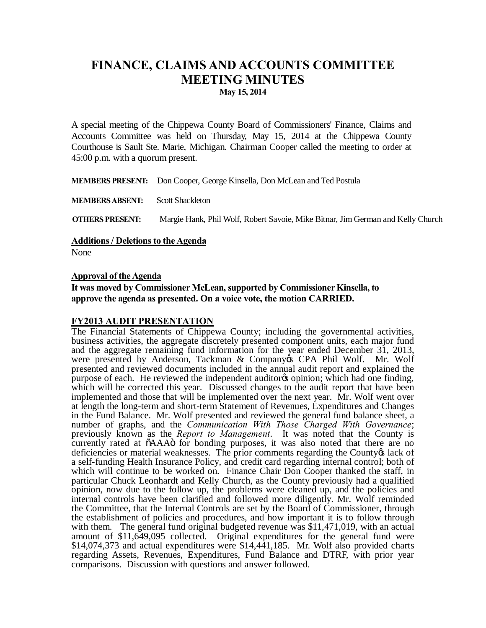## **FINANCE, CLAIMS AND ACCOUNTS COMMITTEE MEETING MINUTES May 15, 2014**

A special meeting of the Chippewa County Board of Commissioners' Finance, Claims and Accounts Committee was held on Thursday, May 15, 2014 at the Chippewa County Courthouse is Sault Ste. Marie, Michigan. Chairman Cooper called the meeting to order at 45:00 p.m. with a quorum present.

**MEMBERS PRESENT:** Don Cooper, George Kinsella, Don McLean and Ted Postula

**MEMBERS ABSENT:** Scott Shackleton

**OTHERS PRESENT:** Margie Hank, Phil Wolf, Robert Savoie, Mike Bitnar, Jim German and Kelly Church

**Additions / Deletions to the Agenda** 

None

## **Approval of the Agenda**

**It was moved by Commissioner McLean, supported by Commissioner Kinsella, to approve the agenda as presented. On a voice vote, the motion CARRIED.**

## **FY2013 AUDIT PRESENTATION**

The Financial Statements of Chippewa County; including the governmental activities, business activities, the aggregate discretely presented component units, each major fund<br>and the aggregate remaining fund information for the year ended December 31, 2013, were presented by Anderson, Tackman & Company & CPA Phil Wolf. Mr. Wolf presented and reviewed documents included in the annual audit report and explained the purpose of each. He reviewed the independent auditor to opinion; which had one finding, which will be corrected this year. Discussed changes to the audit report that have been implemented and those that will be implemented over the next year. Mr. Wolf went over at length the long-term and short-term Statement of Revenues, Expenditures and Changes in the Fund Balance. Mr. Wolf presented and reviewed the general fund balance sheet, a number of graphs, and the *Communication With Those Charged With Governance*; previously known as the *Report to Management*. It was noted that the County is currently rated at  $\tilde{o}$ AAA $\tilde{o}$  for bonding purposes, it was also noted that there are no deficiencies or material weaknesses. The prior comments regarding the County & lack of a self-funding Health Insurance Policy, and credit card regarding internal control; both of which will continue to be worked on. Finance Chair Don Cooper thanked the staff, in particular Chuck Leonhardt and Kelly Church, as the County previously had a qualified opinion, now due to the follow up, the problems were cleaned up, and the policies and internal controls have been clarified and followed more diligently. Mr. Wolf reminded the Committee, that the Internal Controls are set by the Board of Commissioner, through the establishment of policies and procedures, and how important it is to follow through with them. The general fund original budgeted revenue was \$11,471,019, with an actual amount of \$11,649,095 collected. Original expenditures for the general fund were \$14,074,373 and actual expenditures were \$14,441,185. Mr. Wolf also provided charts regarding Assets, Revenues, Expenditures, Fund Balance and DTRF, with prior year comparisons. Discussion with questions and answer followed.